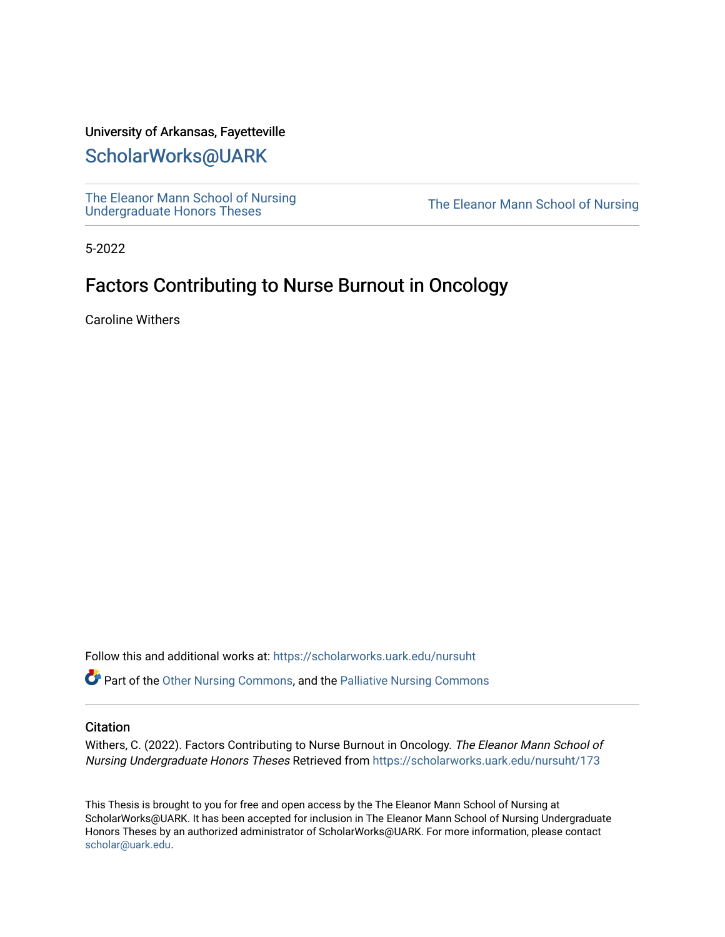# University of Arkansas, Fayetteville

# [ScholarWorks@UARK](https://scholarworks.uark.edu/)

[The Eleanor Mann School of Nursing](https://scholarworks.uark.edu/nursuht)<br>Undergraduate Honors Theses

The Eleanor Mann School of Nursing

5-2022

# Factors Contributing to Nurse Burnout in Oncology

Caroline Withers

Follow this and additional works at: [https://scholarworks.uark.edu/nursuht](https://scholarworks.uark.edu/nursuht?utm_source=scholarworks.uark.edu%2Fnursuht%2F173&utm_medium=PDF&utm_campaign=PDFCoverPages)

 $\bullet$  Part of the [Other Nursing Commons](http://network.bepress.com/hgg/discipline/729?utm_source=scholarworks.uark.edu%2Fnursuht%2F173&utm_medium=PDF&utm_campaign=PDFCoverPages), and the [Palliative Nursing Commons](http://network.bepress.com/hgg/discipline/1433?utm_source=scholarworks.uark.edu%2Fnursuht%2F173&utm_medium=PDF&utm_campaign=PDFCoverPages)

#### **Citation**

Withers, C. (2022). Factors Contributing to Nurse Burnout in Oncology. The Eleanor Mann School of Nursing Undergraduate Honors Theses Retrieved from [https://scholarworks.uark.edu/nursuht/173](https://scholarworks.uark.edu/nursuht/173?utm_source=scholarworks.uark.edu%2Fnursuht%2F173&utm_medium=PDF&utm_campaign=PDFCoverPages) 

This Thesis is brought to you for free and open access by the The Eleanor Mann School of Nursing at ScholarWorks@UARK. It has been accepted for inclusion in The Eleanor Mann School of Nursing Undergraduate Honors Theses by an authorized administrator of ScholarWorks@UARK. For more information, please contact [scholar@uark.edu](mailto:scholar@uark.edu).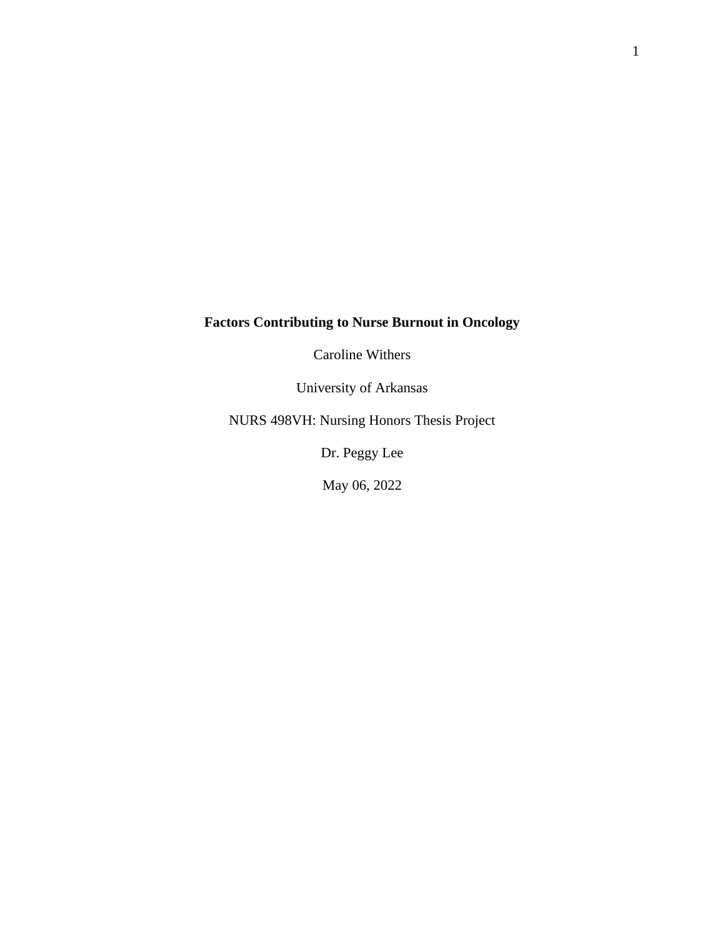# **Factors Contributing to Nurse Burnout in Oncology**

Caroline Withers

University of Arkansas

NURS 498VH: Nursing Honors Thesis Project

Dr. Peggy Lee

May 06, 2022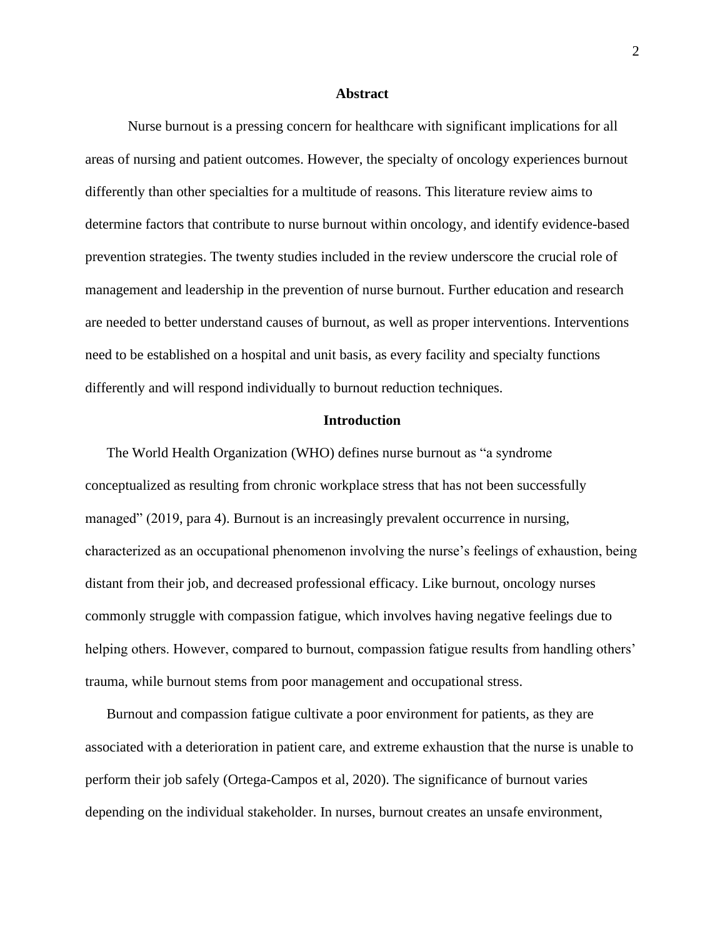### **Abstract**

Nurse burnout is a pressing concern for healthcare with significant implications for all areas of nursing and patient outcomes. However, the specialty of oncology experiences burnout differently than other specialties for a multitude of reasons. This literature review aims to determine factors that contribute to nurse burnout within oncology, and identify evidence-based prevention strategies. The twenty studies included in the review underscore the crucial role of management and leadership in the prevention of nurse burnout. Further education and research are needed to better understand causes of burnout, as well as proper interventions. Interventions need to be established on a hospital and unit basis, as every facility and specialty functions differently and will respond individually to burnout reduction techniques.

## **Introduction**

The World Health Organization (WHO) defines nurse burnout as "a syndrome conceptualized as resulting from chronic workplace stress that has not been successfully managed" (2019, para 4). Burnout is an increasingly prevalent occurrence in nursing, characterized as an occupational phenomenon involving the nurse's feelings of exhaustion, being distant from their job, and decreased professional efficacy. Like burnout, oncology nurses commonly struggle with compassion fatigue, which involves having negative feelings due to helping others. However, compared to burnout, compassion fatigue results from handling others' trauma, while burnout stems from poor management and occupational stress.

Burnout and compassion fatigue cultivate a poor environment for patients, as they are associated with a deterioration in patient care, and extreme exhaustion that the nurse is unable to perform their job safely (Ortega-Campos et al, 2020). The significance of burnout varies depending on the individual stakeholder. In nurses, burnout creates an unsafe environment,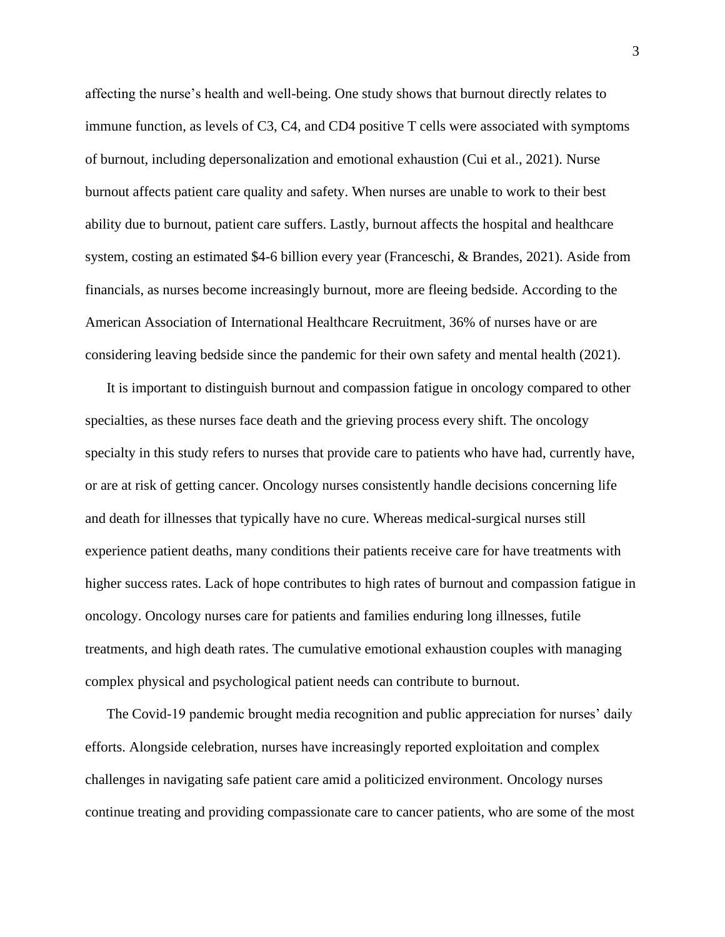affecting the nurse's health and well-being. One study shows that burnout directly relates to immune function, as levels of C3, C4, and CD4 positive T cells were associated with symptoms of burnout, including depersonalization and emotional exhaustion (Cui et al., 2021). Nurse burnout affects patient care quality and safety. When nurses are unable to work to their best ability due to burnout, patient care suffers. Lastly, burnout affects the hospital and healthcare system, costing an estimated \$4-6 billion every year (Franceschi, & Brandes, 2021). Aside from financials, as nurses become increasingly burnout, more are fleeing bedside. According to the American Association of International Healthcare Recruitment, 36% of nurses have or are considering leaving bedside since the pandemic for their own safety and mental health (2021).

It is important to distinguish burnout and compassion fatigue in oncology compared to other specialties, as these nurses face death and the grieving process every shift. The oncology specialty in this study refers to nurses that provide care to patients who have had, currently have, or are at risk of getting cancer. Oncology nurses consistently handle decisions concerning life and death for illnesses that typically have no cure. Whereas medical-surgical nurses still experience patient deaths, many conditions their patients receive care for have treatments with higher success rates. Lack of hope contributes to high rates of burnout and compassion fatigue in oncology. Oncology nurses care for patients and families enduring long illnesses, futile treatments, and high death rates. The cumulative emotional exhaustion couples with managing complex physical and psychological patient needs can contribute to burnout.

The Covid-19 pandemic brought media recognition and public appreciation for nurses' daily efforts. Alongside celebration, nurses have increasingly reported exploitation and complex challenges in navigating safe patient care amid a politicized environment. Oncology nurses continue treating and providing compassionate care to cancer patients, who are some of the most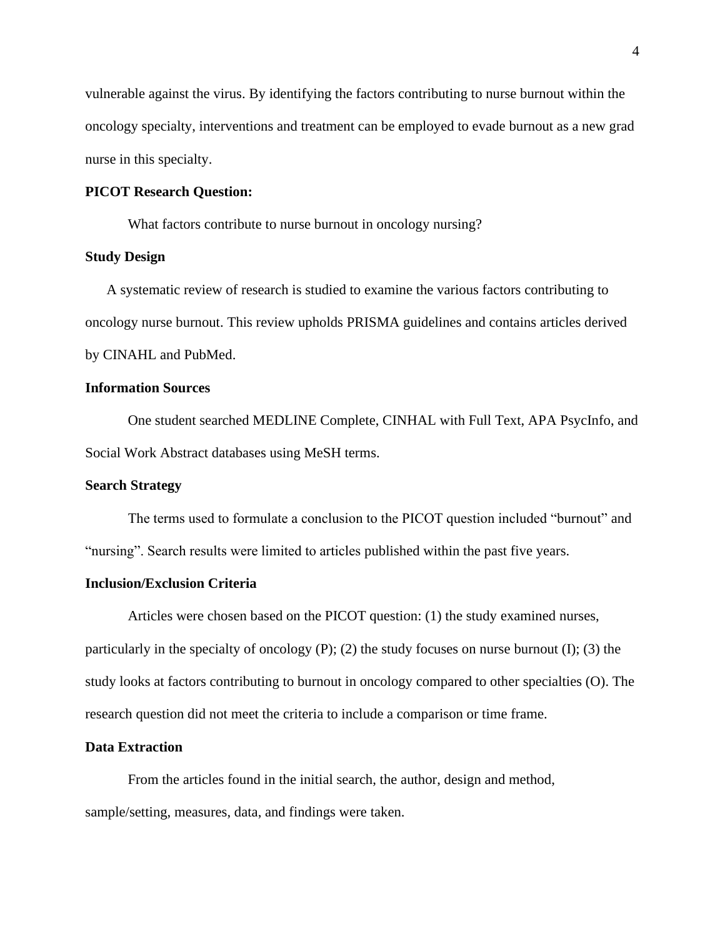vulnerable against the virus. By identifying the factors contributing to nurse burnout within the oncology specialty, interventions and treatment can be employed to evade burnout as a new grad nurse in this specialty.

## **PICOT Research Question:**

What factors contribute to nurse burnout in oncology nursing?

# **Study Design**

A systematic review of research is studied to examine the various factors contributing to oncology nurse burnout. This review upholds PRISMA guidelines and contains articles derived by CINAHL and PubMed.

## **Information Sources**

One student searched MEDLINE Complete, CINHAL with Full Text, APA PsycInfo, and Social Work Abstract databases using MeSH terms.

## **Search Strategy**

The terms used to formulate a conclusion to the PICOT question included "burnout" and "nursing". Search results were limited to articles published within the past five years.

# **Inclusion/Exclusion Criteria**

Articles were chosen based on the PICOT question: (1) the study examined nurses, particularly in the specialty of oncology  $(P)$ ;  $(2)$  the study focuses on nurse burnout  $(I)$ ;  $(3)$  the study looks at factors contributing to burnout in oncology compared to other specialties (O). The research question did not meet the criteria to include a comparison or time frame.

#### **Data Extraction**

From the articles found in the initial search, the author, design and method, sample/setting, measures, data, and findings were taken.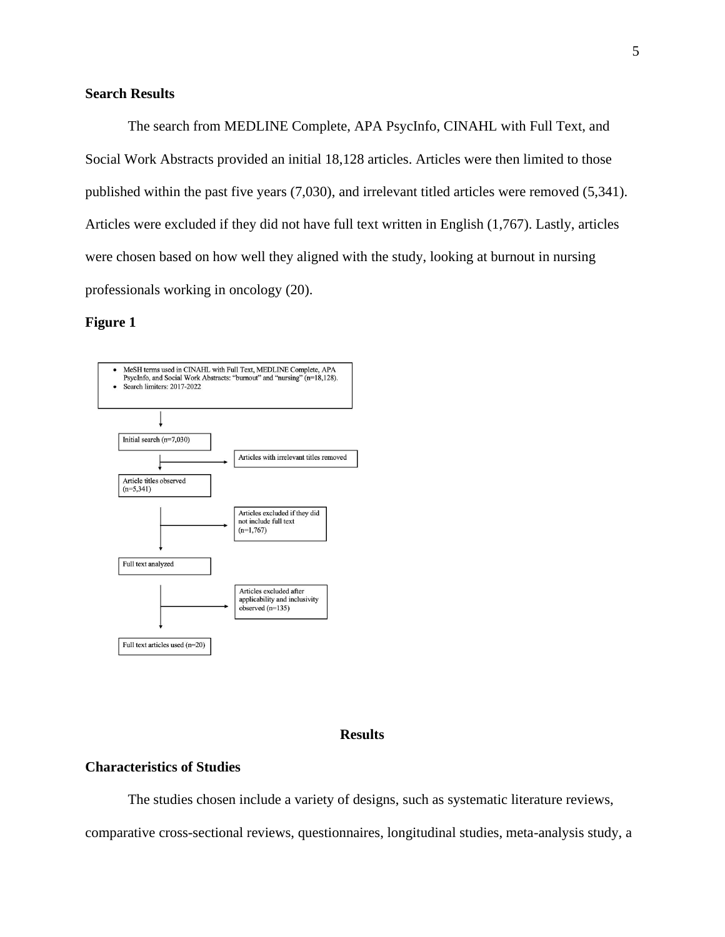# **Search Results**

The search from MEDLINE Complete, APA PsycInfo, CINAHL with Full Text, and Social Work Abstracts provided an initial 18,128 articles. Articles were then limited to those published within the past five years (7,030), and irrelevant titled articles were removed (5,341). Articles were excluded if they did not have full text written in English (1,767). Lastly, articles were chosen based on how well they aligned with the study, looking at burnout in nursing professionals working in oncology (20).

## **Figure 1**



## **Results**

## **Characteristics of Studies**

The studies chosen include a variety of designs, such as systematic literature reviews,

comparative cross-sectional reviews, questionnaires, longitudinal studies, meta-analysis study, a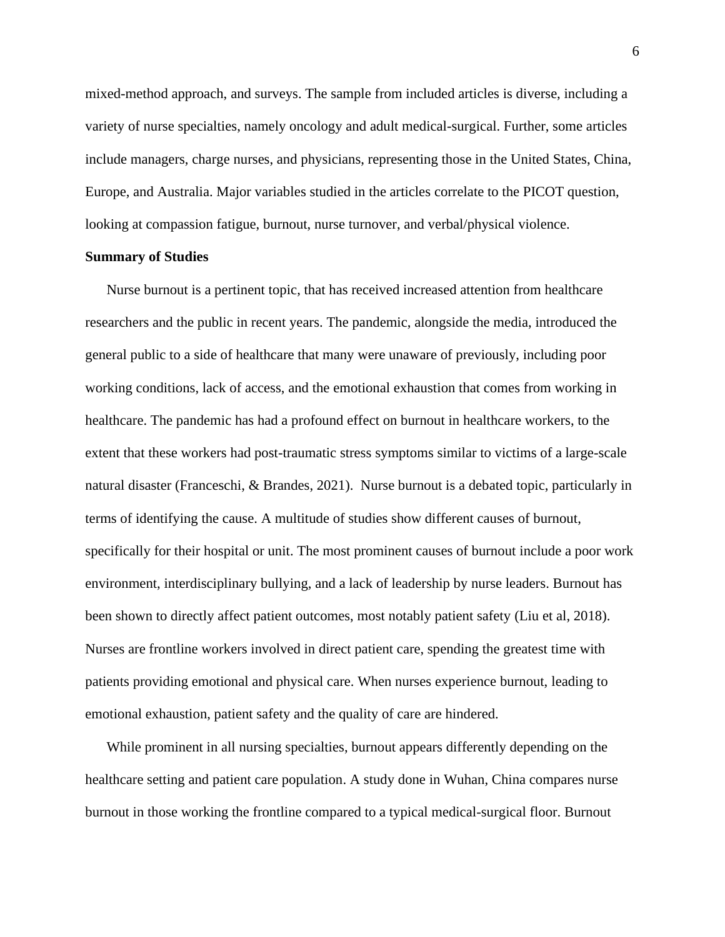mixed-method approach, and surveys. The sample from included articles is diverse, including a variety of nurse specialties, namely oncology and adult medical-surgical. Further, some articles include managers, charge nurses, and physicians, representing those in the United States, China, Europe, and Australia. Major variables studied in the articles correlate to the PICOT question, looking at compassion fatigue, burnout, nurse turnover, and verbal/physical violence.

## **Summary of Studies**

Nurse burnout is a pertinent topic, that has received increased attention from healthcare researchers and the public in recent years. The pandemic, alongside the media, introduced the general public to a side of healthcare that many were unaware of previously, including poor working conditions, lack of access, and the emotional exhaustion that comes from working in healthcare. The pandemic has had a profound effect on burnout in healthcare workers, to the extent that these workers had post-traumatic stress symptoms similar to victims of a large-scale natural disaster (Franceschi, & Brandes, 2021). Nurse burnout is a debated topic, particularly in terms of identifying the cause. A multitude of studies show different causes of burnout, specifically for their hospital or unit. The most prominent causes of burnout include a poor work environment, interdisciplinary bullying, and a lack of leadership by nurse leaders. Burnout has been shown to directly affect patient outcomes, most notably patient safety (Liu et al, 2018). Nurses are frontline workers involved in direct patient care, spending the greatest time with patients providing emotional and physical care. When nurses experience burnout, leading to emotional exhaustion, patient safety and the quality of care are hindered.

While prominent in all nursing specialties, burnout appears differently depending on the healthcare setting and patient care population. A study done in Wuhan, China compares nurse burnout in those working the frontline compared to a typical medical-surgical floor. Burnout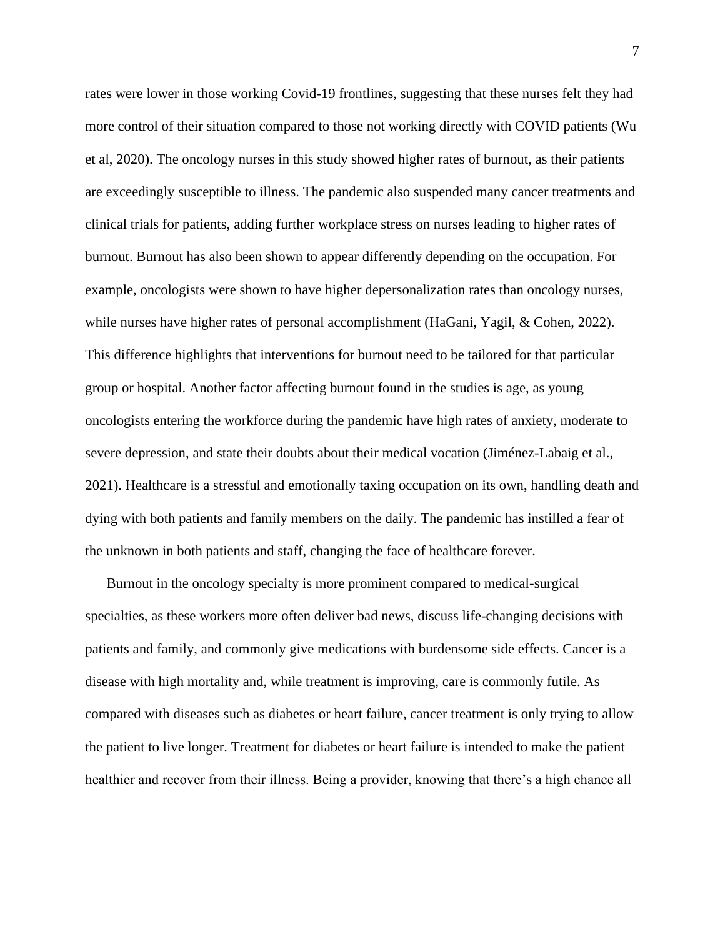rates were lower in those working Covid-19 frontlines, suggesting that these nurses felt they had more control of their situation compared to those not working directly with COVID patients (Wu et al, 2020). The oncology nurses in this study showed higher rates of burnout, as their patients are exceedingly susceptible to illness. The pandemic also suspended many cancer treatments and clinical trials for patients, adding further workplace stress on nurses leading to higher rates of burnout. Burnout has also been shown to appear differently depending on the occupation. For example, oncologists were shown to have higher depersonalization rates than oncology nurses, while nurses have higher rates of personal accomplishment (HaGani, Yagil, & Cohen, 2022). This difference highlights that interventions for burnout need to be tailored for that particular group or hospital. Another factor affecting burnout found in the studies is age, as young oncologists entering the workforce during the pandemic have high rates of anxiety, moderate to severe depression, and state their doubts about their medical vocation (Jiménez-Labaig et al., 2021). Healthcare is a stressful and emotionally taxing occupation on its own, handling death and dying with both patients and family members on the daily. The pandemic has instilled a fear of the unknown in both patients and staff, changing the face of healthcare forever.

Burnout in the oncology specialty is more prominent compared to medical-surgical specialties, as these workers more often deliver bad news, discuss life-changing decisions with patients and family, and commonly give medications with burdensome side effects. Cancer is a disease with high mortality and, while treatment is improving, care is commonly futile. As compared with diseases such as diabetes or heart failure, cancer treatment is only trying to allow the patient to live longer. Treatment for diabetes or heart failure is intended to make the patient healthier and recover from their illness. Being a provider, knowing that there's a high chance all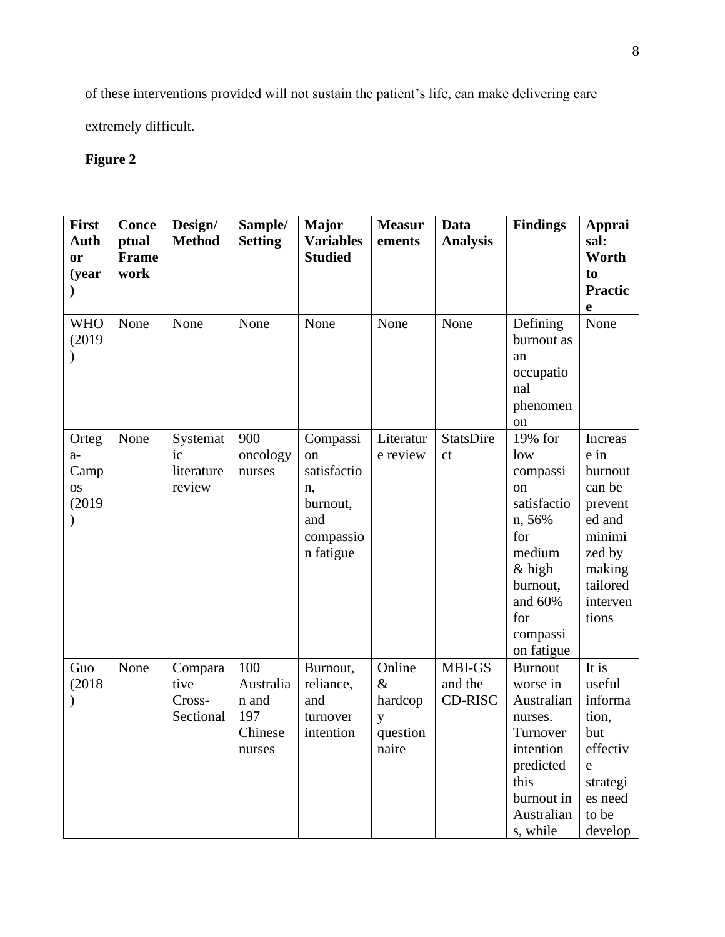of these interventions provided will not sustain the patient's life, can make delivering care

extremely difficult.

# **Figure 2**

| <b>First</b><br>Auth<br><b>or</b><br>(year                        | Conce<br>ptual<br>Frame<br>work | Design/<br><b>Method</b>               | Sample/<br><b>Setting</b>                             | <b>Major</b><br><b>Variables</b><br><b>Studied</b>                                          | <b>Measur</b><br>ements                             | Data<br><b>Analysis</b>           | <b>Findings</b>                                                                                                                                | Apprai<br>sal:<br>Worth<br>to<br><b>Practic</b><br>e                                                                     |
|-------------------------------------------------------------------|---------------------------------|----------------------------------------|-------------------------------------------------------|---------------------------------------------------------------------------------------------|-----------------------------------------------------|-----------------------------------|------------------------------------------------------------------------------------------------------------------------------------------------|--------------------------------------------------------------------------------------------------------------------------|
| <b>WHO</b><br>(2019)<br>$\mathcal{E}$                             | None                            | None                                   | None                                                  | None                                                                                        | None                                                | None                              | Defining<br>burnout as<br>an<br>occupatio<br>nal<br>phenomen<br><sub>on</sub>                                                                  | None                                                                                                                     |
| Orteg<br>$a-$<br>Camp<br><sub>OS</sub><br>(2019)<br>$\mathcal{E}$ | None                            | Systemat<br>ic<br>literature<br>review | 900<br>oncology<br>nurses                             | Compassi<br><sub>on</sub><br>satisfactio<br>n,<br>burnout,<br>and<br>compassio<br>n fatigue | Literatur<br>e review                               | <b>StatsDire</b><br><sub>ct</sub> | 19% for<br>low<br>compassi<br>on<br>satisfactio<br>n, 56%<br>for<br>medium<br>$&$ high<br>burnout,<br>and 60%<br>for<br>compassi<br>on fatigue | Increas<br>e in<br>burnout<br>can be<br>prevent<br>ed and<br>minimi<br>zed by<br>making<br>tailored<br>interven<br>tions |
| Guo<br>(2018)                                                     | None                            | Compara<br>tive<br>Cross-<br>Sectional | 100<br>Australia<br>n and<br>197<br>Chinese<br>nurses | Burnout,<br>reliance,<br>and<br>turnover<br>intention                                       | Online<br>$\&$<br>hardcop<br>y<br>question<br>naire | MBI-GS<br>and the<br>CD-RISC      | <b>Burnout</b><br>worse in<br>Australian<br>nurses.<br>Turnover<br>intention<br>predicted<br>this<br>burnout in<br>Australian<br>s, while      | It is<br>useful<br>informa<br>tion,<br>but<br>effectiv<br>${\rm e}$<br>strategi<br>es need<br>to be<br>develop           |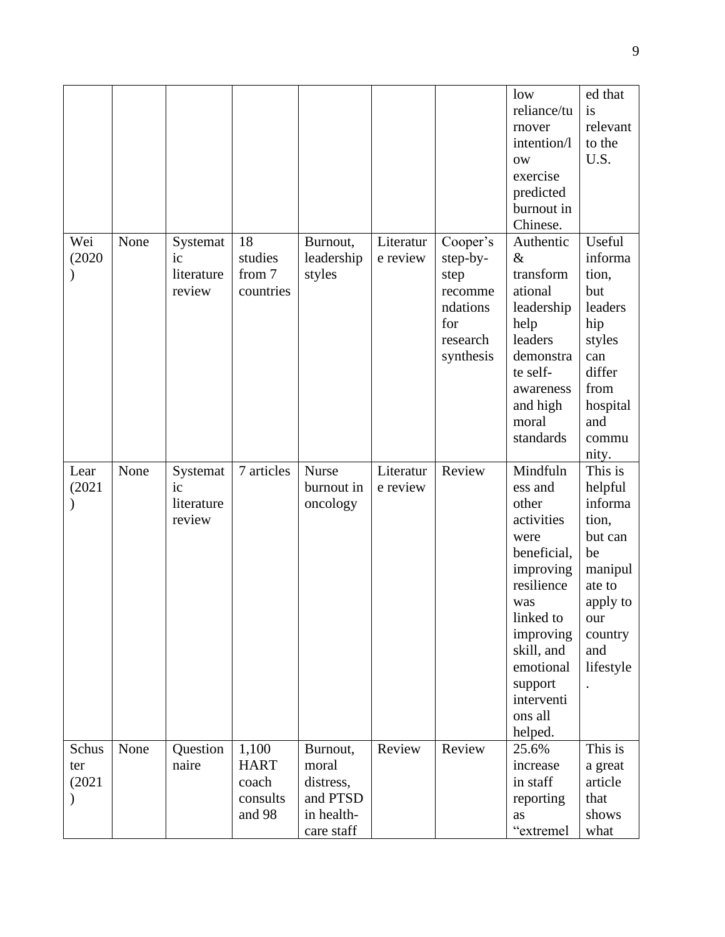|                        |      |                                        |                                                     |                                                                        |                       |                                                                                     | low<br>reliance/tu<br>rnover<br>intention/l<br><b>OW</b><br>exercise<br>predicted<br>burnout in<br>Chinese.                                                                                             | ed that<br>is<br>relevant<br>to the<br>U.S.                                                                                    |
|------------------------|------|----------------------------------------|-----------------------------------------------------|------------------------------------------------------------------------|-----------------------|-------------------------------------------------------------------------------------|---------------------------------------------------------------------------------------------------------------------------------------------------------------------------------------------------------|--------------------------------------------------------------------------------------------------------------------------------|
| Wei<br>(2020)          | None | Systemat<br>ic<br>literature<br>review | 18<br>studies<br>from 7<br>countries                | Burnout,<br>leadership<br>styles                                       | Literatur<br>e review | Cooper's<br>step-by-<br>step<br>recomme<br>ndations<br>for<br>research<br>synthesis | Authentic<br>&<br>transform<br>ational<br>leadership<br>help<br>leaders<br>demonstra<br>te self-<br>awareness<br>and high<br>moral<br>standards                                                         | Useful<br>informa<br>tion,<br>but<br>leaders<br>hip<br>styles<br>can<br>differ<br>from<br>hospital<br>and<br>commu<br>nity.    |
| Lear<br>(2021)         | None | Systemat<br>ic<br>literature<br>review | 7 articles                                          | Nurse<br>burnout in<br>oncology                                        | Literatur<br>e review | Review                                                                              | Mindfuln<br>ess and<br>other<br>activities<br>were<br>beneficial,<br>improving<br>resilience<br>was<br>linked to<br>improving<br>skill, and<br>emotional<br>support<br>interventi<br>ons all<br>helped. | This is<br>helpful<br>informa<br>tion,<br>but can<br>be<br>manipul<br>ate to<br>apply to<br>our<br>country<br>and<br>lifestyle |
| Schus<br>ter<br>(2021) | None | Question<br>naire                      | 1,100<br><b>HART</b><br>coach<br>consults<br>and 98 | Burnout,<br>moral<br>distress,<br>and PTSD<br>in health-<br>care staff | Review                | Review                                                                              | 25.6%<br>increase<br>in staff<br>reporting<br>as<br>"extremel                                                                                                                                           | This is<br>a great<br>article<br>that<br>shows<br>what                                                                         |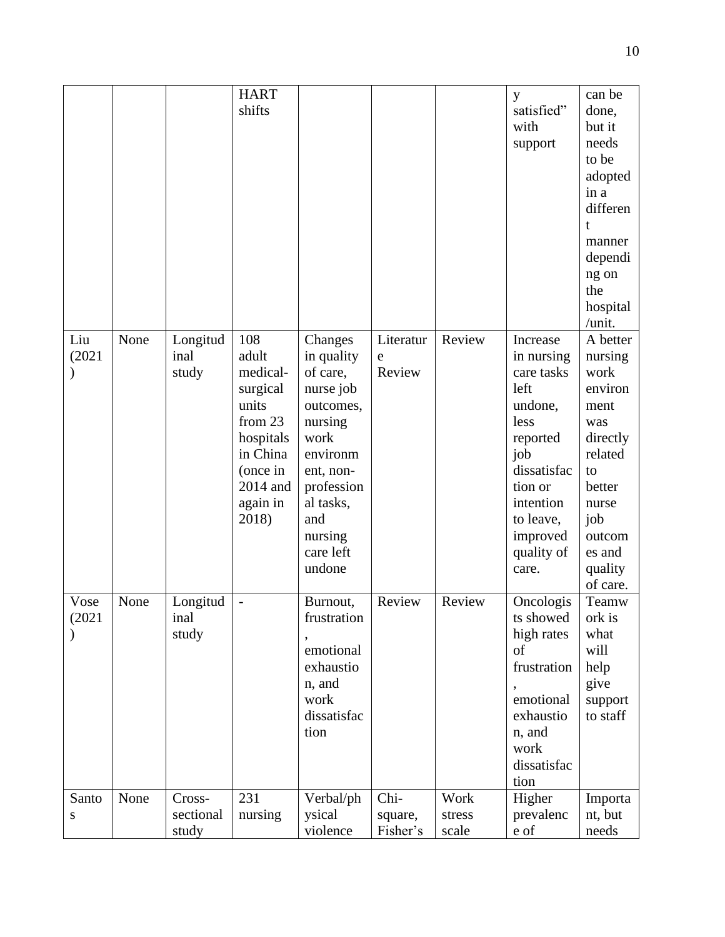|                |      |                              | <b>HART</b><br>shifts                                                                                                          |                                                                                                                                                                             |                             |                         | y<br>satisfied"<br>with<br>support                                                                                                                                        | can be<br>done,<br>but it<br>needs<br>to be<br>adopted<br>in a<br>differen<br>t<br>manner<br>dependi<br>ng on<br>the<br>hospital<br>/unit.              |
|----------------|------|------------------------------|--------------------------------------------------------------------------------------------------------------------------------|-----------------------------------------------------------------------------------------------------------------------------------------------------------------------------|-----------------------------|-------------------------|---------------------------------------------------------------------------------------------------------------------------------------------------------------------------|---------------------------------------------------------------------------------------------------------------------------------------------------------|
| Liu<br>(2021)  | None | Longitud<br>inal<br>study    | 108<br>adult<br>medical-<br>surgical<br>units<br>from 23<br>hospitals<br>in China<br>(once in<br>2014 and<br>again in<br>2018) | Changes<br>in quality<br>of care,<br>nurse job<br>outcomes,<br>nursing<br>work<br>environm<br>ent, non-<br>profession<br>al tasks,<br>and<br>nursing<br>care left<br>undone | Literatur<br>e<br>Review    | Review                  | Increase<br>in nursing<br>care tasks<br>left<br>undone,<br>less<br>reported<br>job<br>dissatisfac<br>tion or<br>intention<br>to leave,<br>improved<br>quality of<br>care. | A better<br>nursing<br>work<br>environ<br>ment<br>was<br>directly<br>related<br>to<br>better<br>nurse<br>job<br>outcom<br>es and<br>quality<br>of care. |
| Vose<br>(2021) | None | Longitud<br>inal<br>study    | $\overline{\phantom{0}}$                                                                                                       | Burnout,<br>frustration<br>emotional<br>exhaustio<br>n, and<br>work<br>dissatisfac<br>tion                                                                                  | Review                      | Review                  | Oncologis<br>ts showed<br>high rates<br>of<br>frustration<br>emotional<br>exhaustio<br>n, and<br>work<br>dissatisfac<br>tion                                              | Teamw<br>ork is<br>what<br>will<br>help<br>give<br>support<br>to staff                                                                                  |
| Santo<br>S     | None | Cross-<br>sectional<br>study | 231<br>nursing                                                                                                                 | Verbal/ph<br>ysical<br>violence                                                                                                                                             | Chi-<br>square,<br>Fisher's | Work<br>stress<br>scale | Higher<br>prevalenc<br>e of                                                                                                                                               | Importa<br>nt, but<br>needs                                                                                                                             |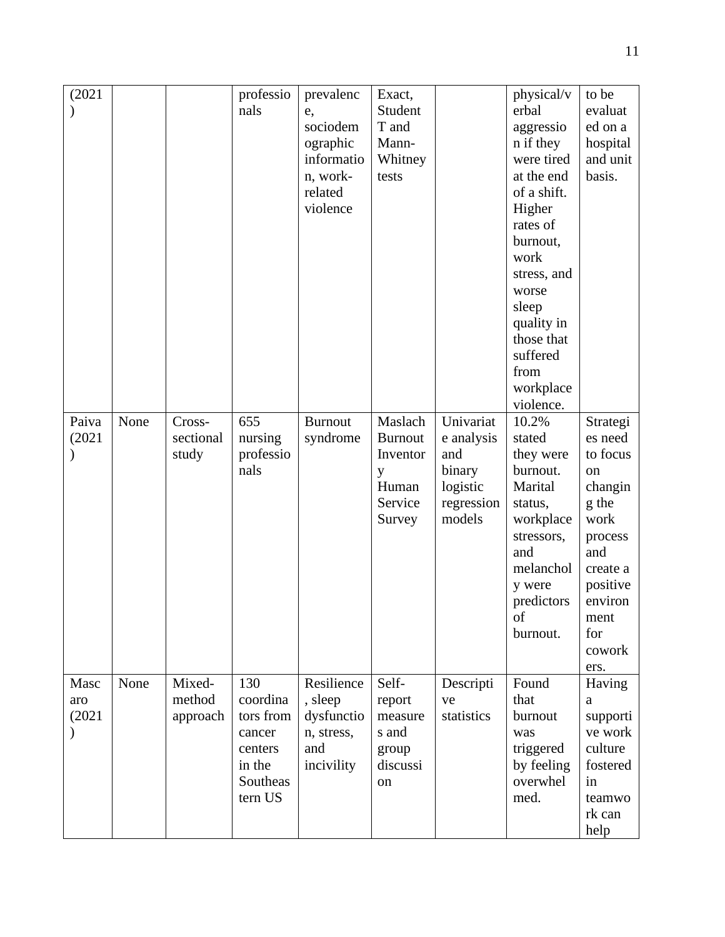| (2021)                |      |                              | professio<br>nals                                                                  | prevalenc<br>e,<br>sociodem<br>ographic                                | Exact,<br>Student<br>T and<br>Mann-                                      |                                                                              | physical/v<br>erbal<br>aggressio<br>n if they                                                                                                                                                | to be<br>evaluat<br>ed on a<br>hospital                                                                                                                 |
|-----------------------|------|------------------------------|------------------------------------------------------------------------------------|------------------------------------------------------------------------|--------------------------------------------------------------------------|------------------------------------------------------------------------------|----------------------------------------------------------------------------------------------------------------------------------------------------------------------------------------------|---------------------------------------------------------------------------------------------------------------------------------------------------------|
|                       |      |                              |                                                                                    | informatio<br>n, work-<br>related<br>violence                          | Whitney<br>tests                                                         |                                                                              | were tired<br>at the end<br>of a shift.<br>Higher<br>rates of<br>burnout,<br>work<br>stress, and<br>worse<br>sleep<br>quality in<br>those that<br>suffered<br>from<br>workplace<br>violence. | and unit<br>basis.                                                                                                                                      |
| Paiva<br>(2021)       | None | Cross-<br>sectional<br>study | 655<br>nursing<br>professio<br>nals                                                | <b>Burnout</b><br>syndrome                                             | Maslach<br><b>Burnout</b><br>Inventor<br>y<br>Human<br>Service<br>Survey | Univariat<br>e analysis<br>and<br>binary<br>logistic<br>regression<br>models | 10.2%<br>stated<br>they were<br>burnout.<br>Marital<br>status,<br>workplace<br>stressors,<br>and<br>melanchol<br>y were<br>predictors<br>of<br>burnout.                                      | Strategi<br>es need<br>to focus<br>on<br>changin<br>g the<br>work<br>process<br>and<br>create a<br>positive<br>environ<br>ment<br>for<br>cowork<br>ers. |
| Masc<br>aro<br>(2021) | None | Mixed-<br>method<br>approach | 130<br>coordina<br>tors from<br>cancer<br>centers<br>in the<br>Southeas<br>tern US | Resilience<br>, sleep<br>dysfunctio<br>n, stress,<br>and<br>incivility | Self-<br>report<br>measure<br>s and<br>group<br>discussi<br>on           | Descripti<br>ve<br>statistics                                                | Found<br>that<br>burnout<br>was<br>triggered<br>by feeling<br>overwhel<br>med.                                                                                                               | Having<br>a<br>supporti<br>ve work<br>culture<br>fostered<br>in<br>teamwo<br>rk can<br>help                                                             |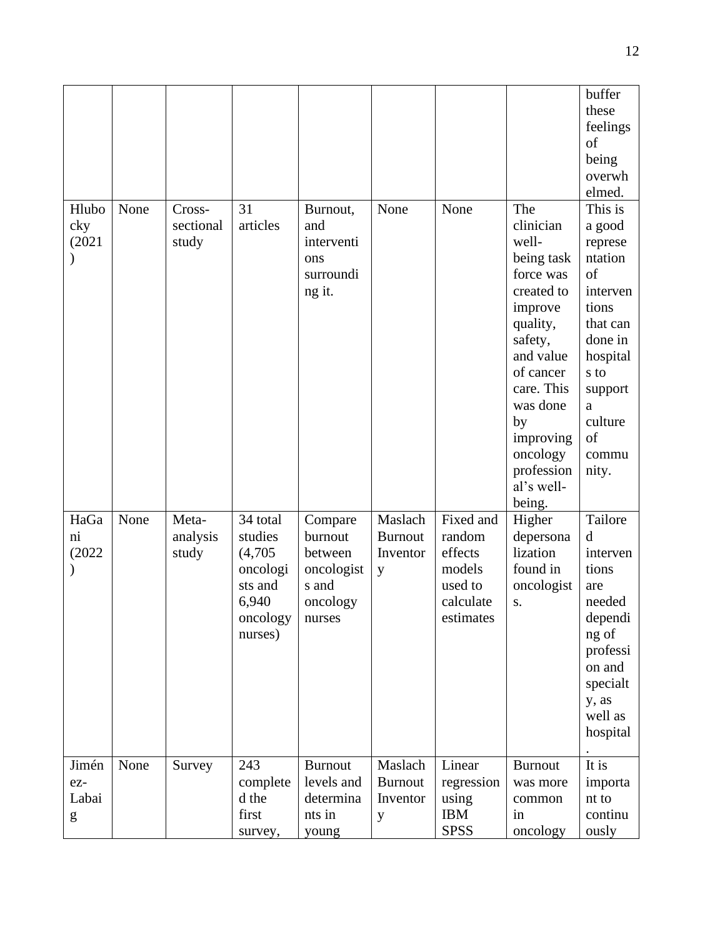|                                                                                                                                                                                                                                                                                                                                                                                                                                                         |      |                              |                                                                                       |                                                                            |                                            |                                                                               |                                                                                                                                                                                                                               | buffer<br>these<br>feelings<br>of<br>being<br>overwh<br>elmed.                                                                                                   |
|---------------------------------------------------------------------------------------------------------------------------------------------------------------------------------------------------------------------------------------------------------------------------------------------------------------------------------------------------------------------------------------------------------------------------------------------------------|------|------------------------------|---------------------------------------------------------------------------------------|----------------------------------------------------------------------------|--------------------------------------------|-------------------------------------------------------------------------------|-------------------------------------------------------------------------------------------------------------------------------------------------------------------------------------------------------------------------------|------------------------------------------------------------------------------------------------------------------------------------------------------------------|
| Hlubo<br>cky<br>(2021)                                                                                                                                                                                                                                                                                                                                                                                                                                  | None | Cross-<br>sectional<br>study | 31<br>articles                                                                        | Burnout,<br>and<br>interventi<br>ons<br>surroundi<br>ng it.                | None                                       | None                                                                          | The<br>clinician<br>well-<br>being task<br>force was<br>created to<br>improve<br>quality,<br>safety,<br>and value<br>of cancer<br>care. This<br>was done<br>by<br>improving<br>oncology<br>profession<br>al's well-<br>being. | This is<br>a good<br>represe<br>ntation<br>of<br>interven<br>tions<br>that can<br>done in<br>hospital<br>s to<br>support<br>a<br>culture<br>of<br>commu<br>nity. |
| HaGa<br>$\overline{\text{ni}}$<br>(2022)                                                                                                                                                                                                                                                                                                                                                                                                                | None | Meta-<br>analysis<br>study   | 34 total<br>studies<br>(4,705)<br>oncologi<br>sts and<br>6,940<br>oncology<br>nurses) | Compare<br>burnout<br>between<br>oncologist<br>s and<br>oncology<br>nurses | Maslach<br><b>Burnout</b><br>Inventor<br>y | Fixed and<br>random<br>effects<br>models<br>used to<br>calculate<br>estimates | Higher<br>depersona<br>lization<br>found in<br>oncologist<br>S.                                                                                                                                                               | Tailore<br>d<br>interven<br>tions<br>are<br>needed<br>dependi<br>ng of<br>professi<br>on and<br>specialt<br>y, as<br>well as<br>hospital                         |
| Jimén<br>ez-<br>Labai<br>$\mathbf{g}% _{T}=\mathbf{g}_{T}=\mathbf{g}_{T}=\mathbf{g}_{T}=\mathbf{g}_{T}=\mathbf{g}_{T}=\mathbf{g}_{T}=\mathbf{g}_{T}=\mathbf{g}_{T}=\mathbf{g}_{T}=\mathbf{g}_{T}=\mathbf{g}_{T}=\mathbf{g}_{T}=\mathbf{g}_{T}=\mathbf{g}_{T}=\mathbf{g}_{T}=\mathbf{g}_{T}=\mathbf{g}_{T}=\mathbf{g}_{T}=\mathbf{g}_{T}=\mathbf{g}_{T}=\mathbf{g}_{T}=\mathbf{g}_{T}=\mathbf{g}_{T}=\mathbf{g}_{T}=\mathbf{g}_{T}=\mathbf{g}_{T}=\math$ | None | Survey                       | 243<br>complete<br>d the<br>first<br>survey,                                          | <b>Burnout</b><br>levels and<br>determina<br>nts in<br>young               | Maslach<br><b>Burnout</b><br>Inventor<br>y | Linear<br>regression<br>using<br><b>IBM</b><br><b>SPSS</b>                    | <b>Burnout</b><br>was more<br>common<br>in<br>oncology                                                                                                                                                                        | It is<br>importa<br>nt to<br>continu<br>ously                                                                                                                    |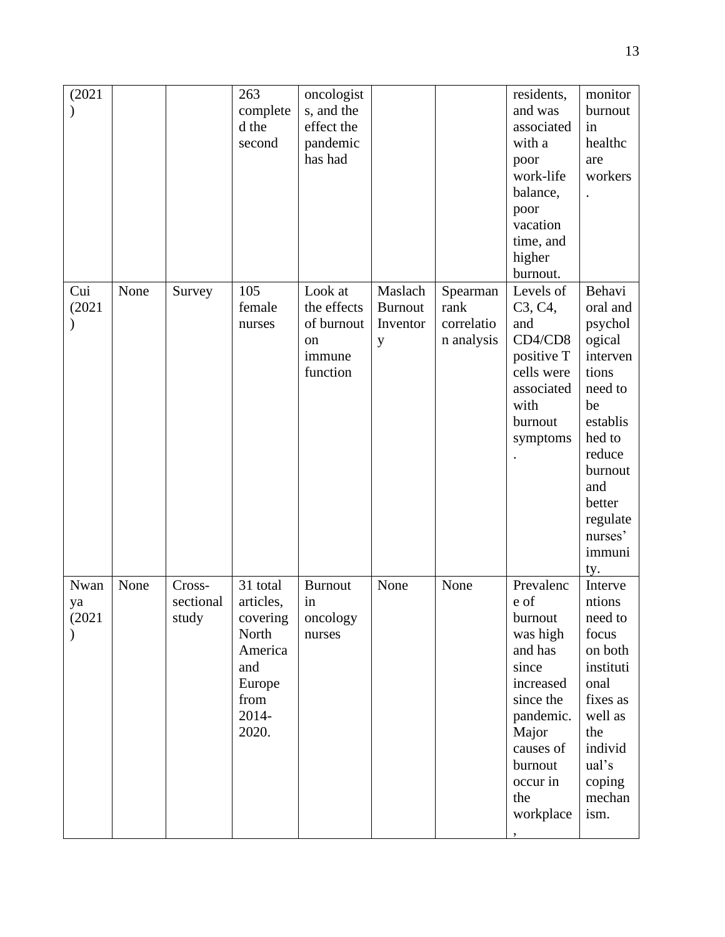| (2021)               |      |                              | 263<br>complete<br>d the<br>second                                                               | oncologist<br>s, and the<br>effect the<br>pandemic<br>has had    |                                            |                                              | residents,<br>and was<br>associated<br>with a<br>poor<br>work-life<br>balance,<br>poor<br>vacation<br>time, and<br>higher<br>burnout.                                | monitor<br>burnout<br>in<br>healthc<br>are<br>workers                                                                                                                             |
|----------------------|------|------------------------------|--------------------------------------------------------------------------------------------------|------------------------------------------------------------------|--------------------------------------------|----------------------------------------------|----------------------------------------------------------------------------------------------------------------------------------------------------------------------|-----------------------------------------------------------------------------------------------------------------------------------------------------------------------------------|
| Cui<br>(2021)        | None | Survey                       | 105<br>female<br>nurses                                                                          | Look at<br>the effects<br>of burnout<br>on<br>immune<br>function | Maslach<br><b>Burnout</b><br>Inventor<br>y | Spearman<br>rank<br>correlatio<br>n analysis | Levels of<br>C <sub>3</sub> , C <sub>4</sub> ,<br>and<br>CD4/CD8<br>positive T<br>cells were<br>associated<br>with<br>burnout<br>symptoms                            | Behavi<br>oral and<br>psychol<br>ogical<br>interven<br>tions<br>need to<br>be<br>establis<br>hed to<br>reduce<br>burnout<br>and<br>better<br>regulate<br>nurses'<br>immuni<br>ty. |
| Nwan<br>ya<br>(2021) | None | Cross-<br>sectional<br>study | 31 total<br>articles,<br>covering<br>North<br>America<br>and<br>Europe<br>from<br>2014-<br>2020. | <b>Burnout</b><br>in<br>oncology<br>nurses                       | None                                       | None                                         | Prevalenc<br>e of<br>burnout<br>was high<br>and has<br>since<br>increased<br>since the<br>pandemic.<br>Major<br>causes of<br>burnout<br>occur in<br>the<br>workplace | Interve<br>ntions<br>need to<br>focus<br>on both<br>instituti<br>onal<br>fixes as<br>well as<br>the<br>individ<br>ual's<br>coping<br>mechan<br>ism.                               |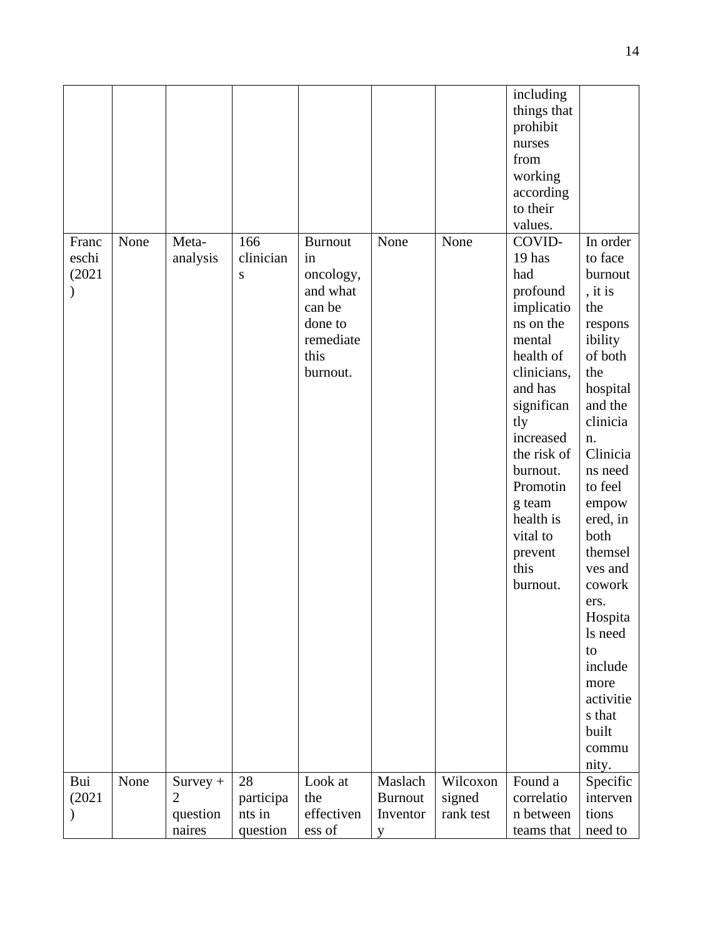|               |      |                              |                 |                    |                           |                    | including<br>things that<br>prohibit<br>nurses |                      |
|---------------|------|------------------------------|-----------------|--------------------|---------------------------|--------------------|------------------------------------------------|----------------------|
|               |      |                              |                 |                    |                           |                    | from                                           |                      |
|               |      |                              |                 |                    |                           |                    | working                                        |                      |
|               |      |                              |                 |                    |                           |                    | according<br>to their                          |                      |
|               |      |                              |                 |                    |                           |                    | values.                                        |                      |
| Franc         | None | Meta-                        | 166             | <b>Burnout</b>     | None                      | None               | COVID-                                         | In order             |
| eschi         |      | analysis                     | clinician       | in                 |                           |                    | 19 has                                         | to face              |
| (2021)        |      |                              | S               | oncology,          |                           |                    | had                                            | burnout              |
|               |      |                              |                 | and what<br>can be |                           |                    | profound<br>implicatio                         | , it is<br>the       |
|               |      |                              |                 | done to            |                           |                    | ns on the                                      | respons              |
|               |      |                              |                 | remediate          |                           |                    | mental                                         | ibility              |
|               |      |                              |                 | this               |                           |                    | health of                                      | of both              |
|               |      |                              |                 | burnout.           |                           |                    | clinicians,<br>and has                         | the                  |
|               |      |                              |                 |                    |                           |                    | significan                                     | hospital<br>and the  |
|               |      |                              |                 |                    |                           |                    | tly                                            | clinicia             |
|               |      |                              |                 |                    |                           |                    | increased                                      | n.                   |
|               |      |                              |                 |                    |                           |                    | the risk of                                    | Clinicia             |
|               |      |                              |                 |                    |                           |                    | burnout.<br>Promotin                           | ns need<br>to feel   |
|               |      |                              |                 |                    |                           |                    | g team                                         | empow                |
|               |      |                              |                 |                    |                           |                    | health is                                      | ered, in             |
|               |      |                              |                 |                    |                           |                    | vital to                                       | both                 |
|               |      |                              |                 |                    |                           |                    | prevent                                        | themsel              |
|               |      |                              |                 |                    |                           |                    | this<br>burnout.                               | ves and<br>cowork    |
|               |      |                              |                 |                    |                           |                    |                                                | ers.                 |
|               |      |                              |                 |                    |                           |                    |                                                | Hospita              |
|               |      |                              |                 |                    |                           |                    |                                                | ls need              |
|               |      |                              |                 |                    |                           |                    |                                                | to                   |
|               |      |                              |                 |                    |                           |                    |                                                | include              |
|               |      |                              |                 |                    |                           |                    |                                                | more<br>activitie    |
|               |      |                              |                 |                    |                           |                    |                                                | s that               |
|               |      |                              |                 |                    |                           |                    |                                                | built                |
|               |      |                              |                 |                    |                           |                    |                                                | commu                |
|               |      |                              |                 |                    |                           |                    |                                                | nity.                |
| Bui<br>(2021) | None | $Survey +$<br>$\overline{2}$ | 28<br>participa | Look at<br>the     | Maslach<br><b>Burnout</b> | Wilcoxon<br>signed | Found a<br>correlatio                          | Specific<br>interven |
| $\mathcal{)}$ |      | question                     | nts in          | effectiven         | Inventor                  | rank test          | n between                                      | tions                |
|               |      | naires                       | question        | ess of             | y                         |                    | teams that                                     | need to              |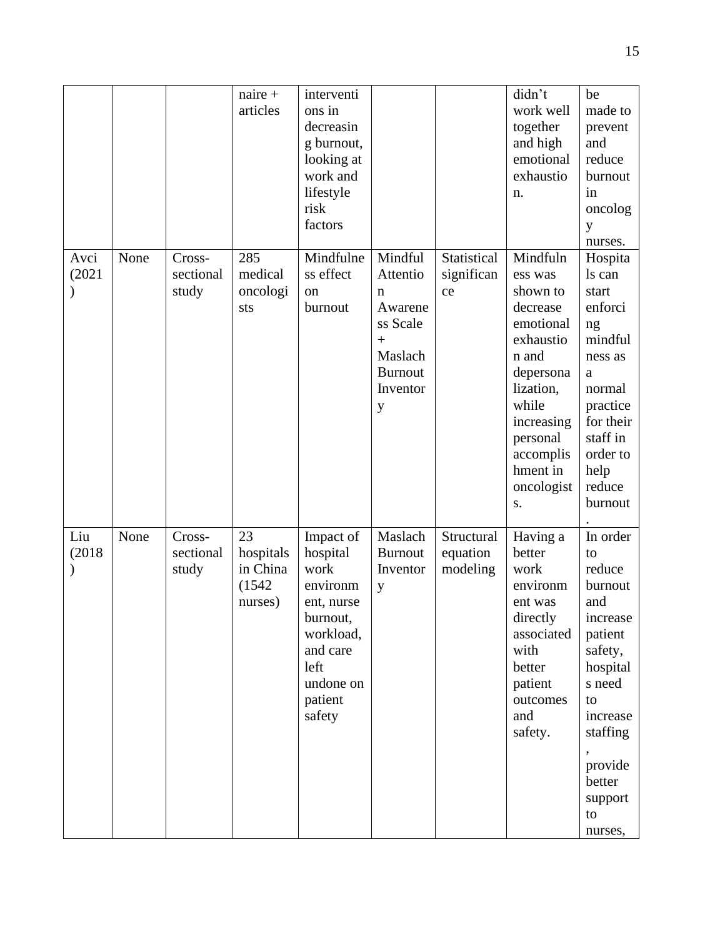|                |      |                              | $naire +$<br>articles                            | interventi<br>ons in<br>decreasin<br>g burnout,<br>looking at<br>work and<br>lifestyle<br>risk<br>factors                              |                                                                                                      |                                    | didn't<br>work well<br>together<br>and high<br>emotional<br>exhaustio<br>n.                                                                                                              | be<br>made to<br>prevent<br>and<br>reduce<br>burnout<br>in<br>oncolog<br>y<br>nurses.                                                                                                                                                                                               |
|----------------|------|------------------------------|--------------------------------------------------|----------------------------------------------------------------------------------------------------------------------------------------|------------------------------------------------------------------------------------------------------|------------------------------------|------------------------------------------------------------------------------------------------------------------------------------------------------------------------------------------|-------------------------------------------------------------------------------------------------------------------------------------------------------------------------------------------------------------------------------------------------------------------------------------|
| Avci<br>(2021) | None | Cross-<br>sectional<br>study | 285<br>medical<br>oncologi<br>sts                | Mindfulne<br>ss effect<br>on<br>burnout                                                                                                | Mindful<br>Attentio<br>n<br>Awarene<br>ss Scale<br>$+$<br>Maslach<br><b>Burnout</b><br>Inventor<br>y | Statistical<br>significan<br>ce    | Mindfuln<br>ess was<br>shown to<br>decrease<br>emotional<br>exhaustio<br>n and<br>depersona<br>lization,<br>while<br>increasing<br>personal<br>accomplis<br>hment in<br>oncologist<br>S. | Hospita<br>ls can<br>start<br>enforci<br>ng<br>mindful<br>ness as<br>a<br>normal<br>practice<br>for their<br>staff in<br>order to<br>help<br>reduce<br>burnout                                                                                                                      |
| Liu<br>(2018)  | None | Cross-<br>sectional<br>study | 23<br>hospitals<br>in China<br>(1542)<br>nurses) | Impact of<br>hospital<br>work<br>environm<br>ent, nurse<br>burnout,<br>workload,<br>and care<br>left<br>undone on<br>patient<br>safety | Maslach<br><b>Burnout</b><br>Inventor<br>y                                                           | Structural<br>equation<br>modeling | Having a<br>better<br>work<br>environm<br>ent was<br>directly<br>associated<br>with<br>better<br>patient<br>outcomes<br>and<br>safety.                                                   | In order<br>to<br>reduce<br>burnout<br>and<br>$\operatorname*{increase}% \left( \mathcal{M}\right) \equiv\operatorname*{trace}\left( \mathcal{M}\right)$<br>patient<br>safety,<br>hospital<br>s need<br>to<br>increase<br>staffing<br>provide<br>better<br>support<br>to<br>nurses, |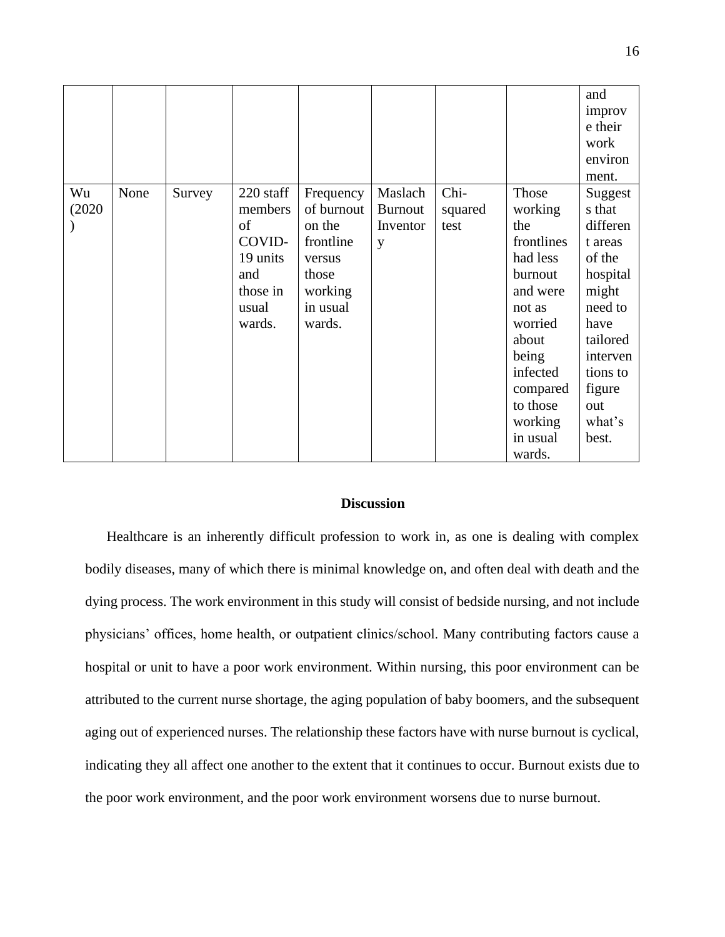|        |      |        |           |            |                |         |            | and      |
|--------|------|--------|-----------|------------|----------------|---------|------------|----------|
|        |      |        |           |            |                |         |            | improv   |
|        |      |        |           |            |                |         |            | e their  |
|        |      |        |           |            |                |         |            | work     |
|        |      |        |           |            |                |         |            | environ  |
|        |      |        |           |            |                |         |            | ment.    |
| Wu     | None | Survey | 220 staff | Frequency  | Maslach        | Chi-    | Those      | Suggest  |
| (2020) |      |        | members   | of burnout | <b>Burnout</b> | squared | working    | s that   |
|        |      |        | of        | on the     | Inventor       | test    | the        | differen |
|        |      |        | COVID-    | frontline  | y              |         | frontlines | t areas  |
|        |      |        | 19 units  | versus     |                |         | had less   | of the   |
|        |      |        | and       | those      |                |         | burnout    | hospital |
|        |      |        | those in  | working    |                |         | and were   | might    |
|        |      |        | usual     | in usual   |                |         | not as     | need to  |
|        |      |        | wards.    | wards.     |                |         | worried    | have     |
|        |      |        |           |            |                |         | about      | tailored |
|        |      |        |           |            |                |         | being      | interven |
|        |      |        |           |            |                |         | infected   | tions to |
|        |      |        |           |            |                |         | compared   | figure   |
|        |      |        |           |            |                |         | to those   | out      |
|        |      |        |           |            |                |         | working    | what's   |
|        |      |        |           |            |                |         | in usual   | best.    |
|        |      |        |           |            |                |         | wards.     |          |

# **Discussion**

Healthcare is an inherently difficult profession to work in, as one is dealing with complex bodily diseases, many of which there is minimal knowledge on, and often deal with death and the dying process. The work environment in this study will consist of bedside nursing, and not include physicians' offices, home health, or outpatient clinics/school. Many contributing factors cause a hospital or unit to have a poor work environment. Within nursing, this poor environment can be attributed to the current nurse shortage, the aging population of baby boomers, and the subsequent aging out of experienced nurses. The relationship these factors have with nurse burnout is cyclical, indicating they all affect one another to the extent that it continues to occur. Burnout exists due to the poor work environment, and the poor work environment worsens due to nurse burnout.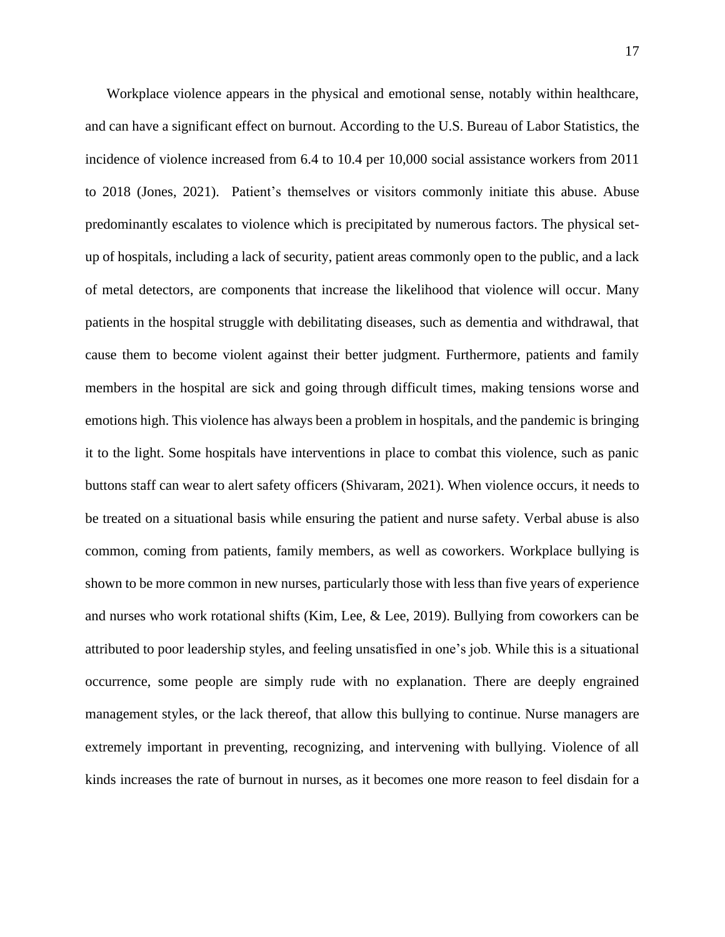Workplace violence appears in the physical and emotional sense, notably within healthcare, and can have a significant effect on burnout. According to the U.S. Bureau of Labor Statistics, the incidence of violence increased from 6.4 to 10.4 per 10,000 social assistance workers from 2011 to 2018 (Jones, 2021). Patient's themselves or visitors commonly initiate this abuse. Abuse predominantly escalates to violence which is precipitated by numerous factors. The physical setup of hospitals, including a lack of security, patient areas commonly open to the public, and a lack of metal detectors, are components that increase the likelihood that violence will occur. Many patients in the hospital struggle with debilitating diseases, such as dementia and withdrawal, that cause them to become violent against their better judgment. Furthermore, patients and family members in the hospital are sick and going through difficult times, making tensions worse and emotions high. This violence has always been a problem in hospitals, and the pandemic is bringing it to the light. Some hospitals have interventions in place to combat this violence, such as panic buttons staff can wear to alert safety officers (Shivaram, 2021). When violence occurs, it needs to be treated on a situational basis while ensuring the patient and nurse safety. Verbal abuse is also common, coming from patients, family members, as well as coworkers. Workplace bullying is shown to be more common in new nurses, particularly those with less than five years of experience and nurses who work rotational shifts (Kim, Lee, & Lee, 2019). Bullying from coworkers can be attributed to poor leadership styles, and feeling unsatisfied in one's job. While this is a situational occurrence, some people are simply rude with no explanation. There are deeply engrained management styles, or the lack thereof, that allow this bullying to continue. Nurse managers are extremely important in preventing, recognizing, and intervening with bullying. Violence of all kinds increases the rate of burnout in nurses, as it becomes one more reason to feel disdain for a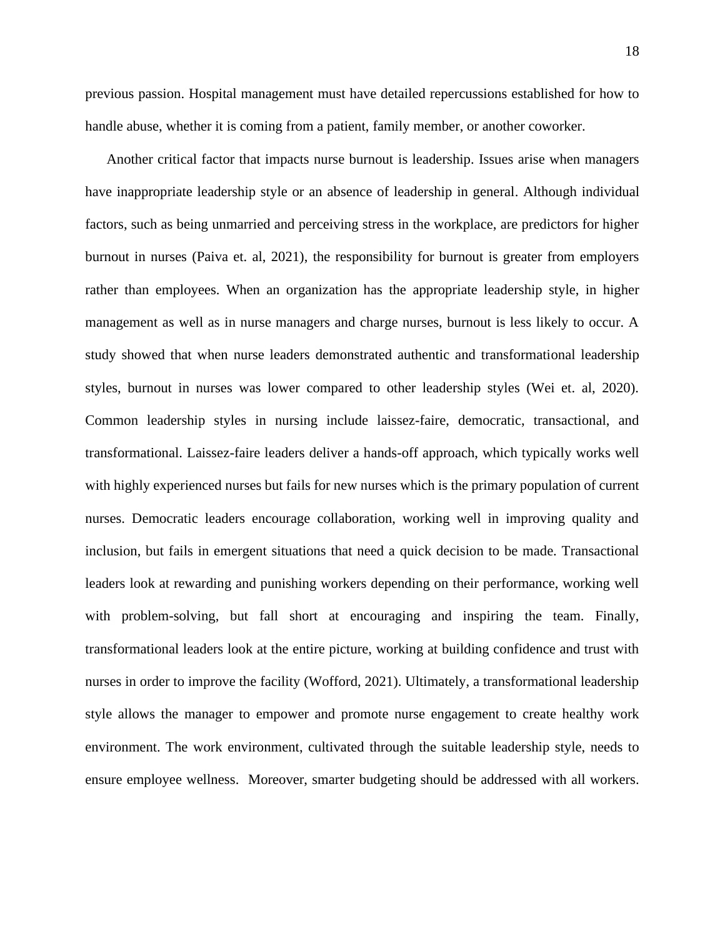previous passion. Hospital management must have detailed repercussions established for how to handle abuse, whether it is coming from a patient, family member, or another coworker.

Another critical factor that impacts nurse burnout is leadership. Issues arise when managers have inappropriate leadership style or an absence of leadership in general. Although individual factors, such as being unmarried and perceiving stress in the workplace, are predictors for higher burnout in nurses (Paiva et. al, 2021), the responsibility for burnout is greater from employers rather than employees. When an organization has the appropriate leadership style, in higher management as well as in nurse managers and charge nurses, burnout is less likely to occur. A study showed that when nurse leaders demonstrated authentic and transformational leadership styles, burnout in nurses was lower compared to other leadership styles (Wei et. al, 2020). Common leadership styles in nursing include laissez-faire, democratic, transactional, and transformational. Laissez-faire leaders deliver a hands-off approach, which typically works well with highly experienced nurses but fails for new nurses which is the primary population of current nurses. Democratic leaders encourage collaboration, working well in improving quality and inclusion, but fails in emergent situations that need a quick decision to be made. Transactional leaders look at rewarding and punishing workers depending on their performance, working well with problem-solving, but fall short at encouraging and inspiring the team. Finally, transformational leaders look at the entire picture, working at building confidence and trust with nurses in order to improve the facility (Wofford, 2021). Ultimately, a transformational leadership style allows the manager to empower and promote nurse engagement to create healthy work environment. The work environment, cultivated through the suitable leadership style, needs to ensure employee wellness. Moreover, smarter budgeting should be addressed with all workers.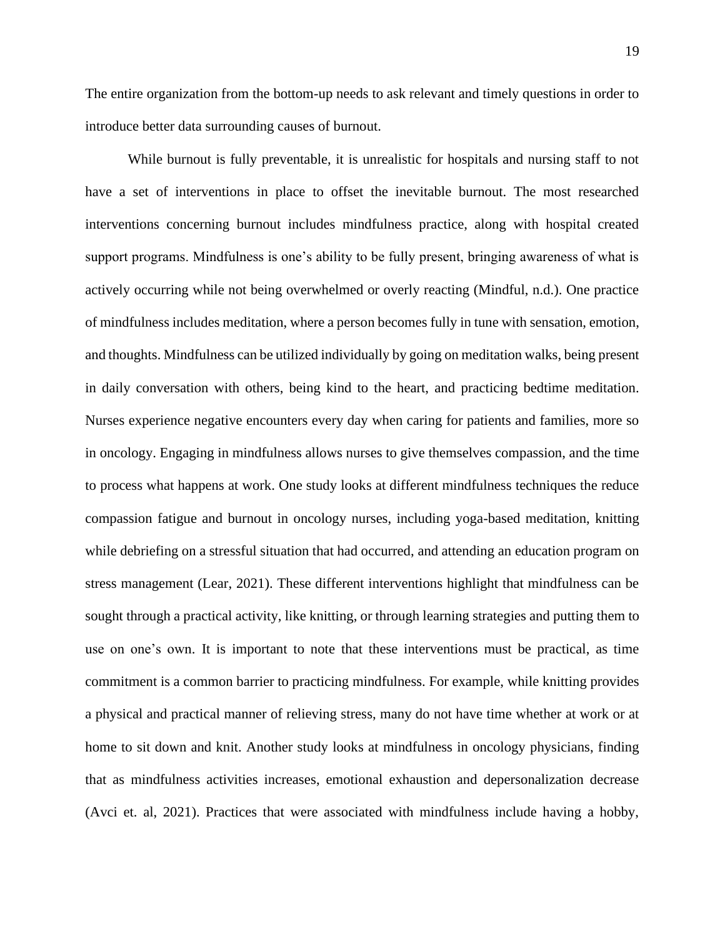The entire organization from the bottom-up needs to ask relevant and timely questions in order to introduce better data surrounding causes of burnout.

While burnout is fully preventable, it is unrealistic for hospitals and nursing staff to not have a set of interventions in place to offset the inevitable burnout. The most researched interventions concerning burnout includes mindfulness practice, along with hospital created support programs. Mindfulness is one's ability to be fully present, bringing awareness of what is actively occurring while not being overwhelmed or overly reacting (Mindful, n.d.). One practice of mindfulness includes meditation, where a person becomes fully in tune with sensation, emotion, and thoughts. Mindfulness can be utilized individually by going on meditation walks, being present in daily conversation with others, being kind to the heart, and practicing bedtime meditation. Nurses experience negative encounters every day when caring for patients and families, more so in oncology. Engaging in mindfulness allows nurses to give themselves compassion, and the time to process what happens at work. One study looks at different mindfulness techniques the reduce compassion fatigue and burnout in oncology nurses, including yoga-based meditation, knitting while debriefing on a stressful situation that had occurred, and attending an education program on stress management (Lear, 2021). These different interventions highlight that mindfulness can be sought through a practical activity, like knitting, or through learning strategies and putting them to use on one's own. It is important to note that these interventions must be practical, as time commitment is a common barrier to practicing mindfulness. For example, while knitting provides a physical and practical manner of relieving stress, many do not have time whether at work or at home to sit down and knit. Another study looks at mindfulness in oncology physicians, finding that as mindfulness activities increases, emotional exhaustion and depersonalization decrease (Avci et. al, 2021). Practices that were associated with mindfulness include having a hobby,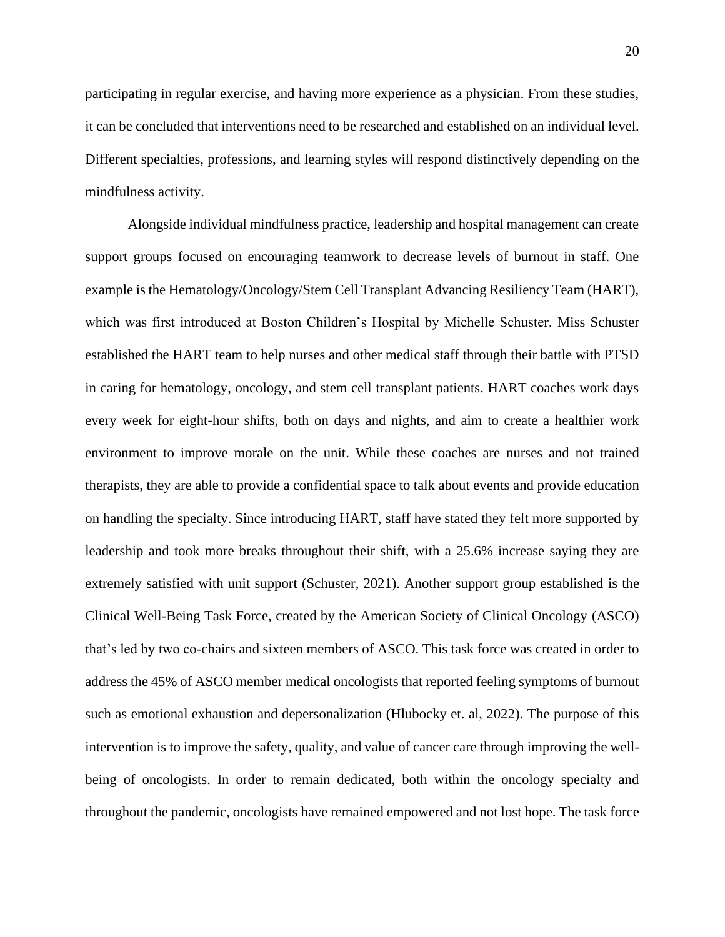participating in regular exercise, and having more experience as a physician. From these studies, it can be concluded that interventions need to be researched and established on an individual level. Different specialties, professions, and learning styles will respond distinctively depending on the mindfulness activity.

Alongside individual mindfulness practice, leadership and hospital management can create support groups focused on encouraging teamwork to decrease levels of burnout in staff. One example is the Hematology/Oncology/Stem Cell Transplant Advancing Resiliency Team (HART), which was first introduced at Boston Children's Hospital by Michelle Schuster. Miss Schuster established the HART team to help nurses and other medical staff through their battle with PTSD in caring for hematology, oncology, and stem cell transplant patients. HART coaches work days every week for eight-hour shifts, both on days and nights, and aim to create a healthier work environment to improve morale on the unit. While these coaches are nurses and not trained therapists, they are able to provide a confidential space to talk about events and provide education on handling the specialty. Since introducing HART, staff have stated they felt more supported by leadership and took more breaks throughout their shift, with a 25.6% increase saying they are extremely satisfied with unit support (Schuster, 2021). Another support group established is the Clinical Well-Being Task Force, created by the American Society of Clinical Oncology (ASCO) that's led by two co-chairs and sixteen members of ASCO. This task force was created in order to address the 45% of ASCO member medical oncologists that reported feeling symptoms of burnout such as emotional exhaustion and depersonalization (Hlubocky et. al, 2022). The purpose of this intervention is to improve the safety, quality, and value of cancer care through improving the wellbeing of oncologists. In order to remain dedicated, both within the oncology specialty and throughout the pandemic, oncologists have remained empowered and not lost hope. The task force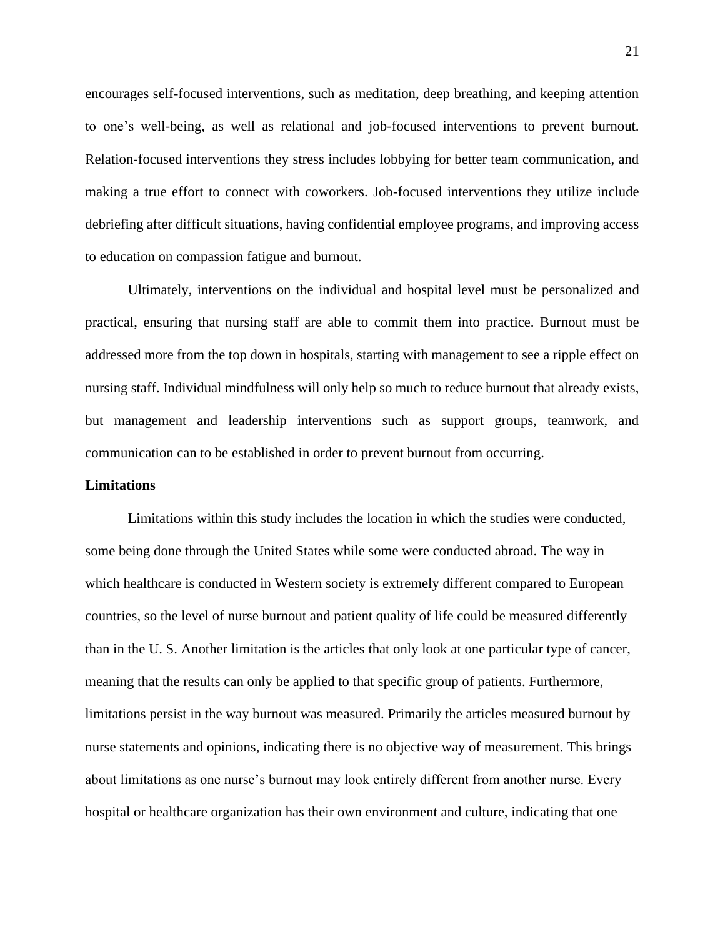encourages self-focused interventions, such as meditation, deep breathing, and keeping attention to one's well-being, as well as relational and job-focused interventions to prevent burnout. Relation-focused interventions they stress includes lobbying for better team communication, and making a true effort to connect with coworkers. Job-focused interventions they utilize include debriefing after difficult situations, having confidential employee programs, and improving access to education on compassion fatigue and burnout.

Ultimately, interventions on the individual and hospital level must be personalized and practical, ensuring that nursing staff are able to commit them into practice. Burnout must be addressed more from the top down in hospitals, starting with management to see a ripple effect on nursing staff. Individual mindfulness will only help so much to reduce burnout that already exists, but management and leadership interventions such as support groups, teamwork, and communication can to be established in order to prevent burnout from occurring.

#### **Limitations**

Limitations within this study includes the location in which the studies were conducted, some being done through the United States while some were conducted abroad. The way in which healthcare is conducted in Western society is extremely different compared to European countries, so the level of nurse burnout and patient quality of life could be measured differently than in the U. S. Another limitation is the articles that only look at one particular type of cancer, meaning that the results can only be applied to that specific group of patients. Furthermore, limitations persist in the way burnout was measured. Primarily the articles measured burnout by nurse statements and opinions, indicating there is no objective way of measurement. This brings about limitations as one nurse's burnout may look entirely different from another nurse. Every hospital or healthcare organization has their own environment and culture, indicating that one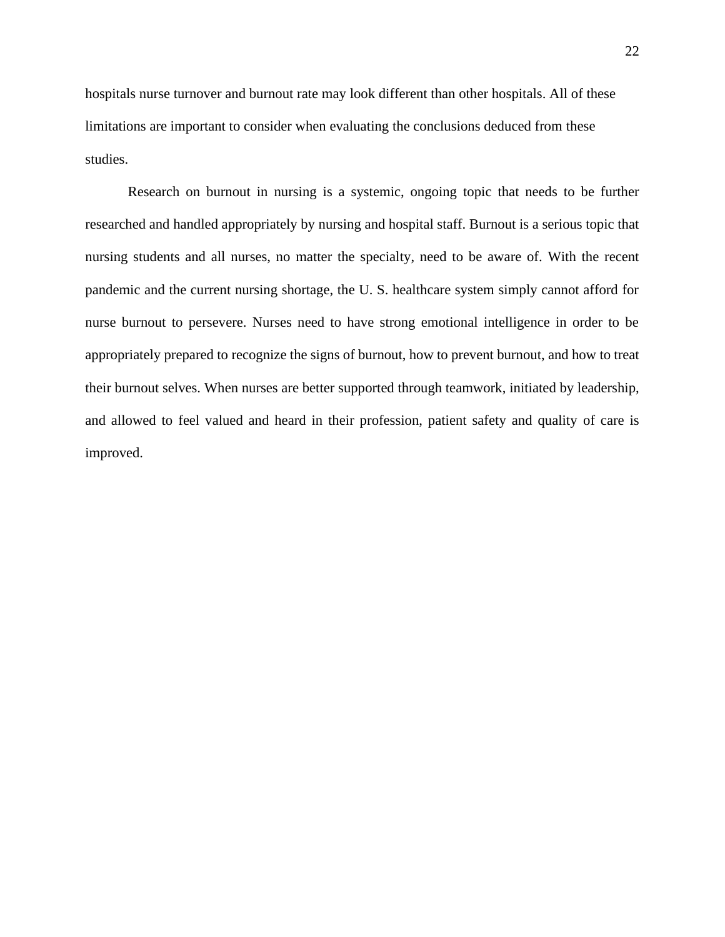hospitals nurse turnover and burnout rate may look different than other hospitals. All of these limitations are important to consider when evaluating the conclusions deduced from these studies.

Research on burnout in nursing is a systemic, ongoing topic that needs to be further researched and handled appropriately by nursing and hospital staff. Burnout is a serious topic that nursing students and all nurses, no matter the specialty, need to be aware of. With the recent pandemic and the current nursing shortage, the U. S. healthcare system simply cannot afford for nurse burnout to persevere. Nurses need to have strong emotional intelligence in order to be appropriately prepared to recognize the signs of burnout, how to prevent burnout, and how to treat their burnout selves. When nurses are better supported through teamwork, initiated by leadership, and allowed to feel valued and heard in their profession, patient safety and quality of care is improved.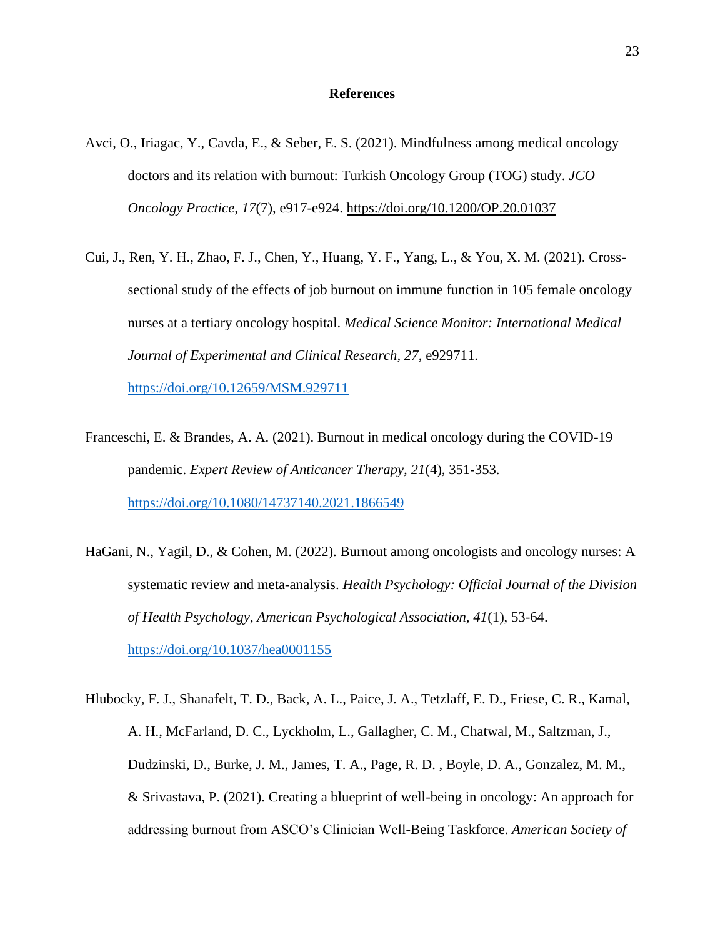### **References**

- Avci, O., Iriagac, Y., Cavda, E., & Seber, E. S. (2021). Mindfulness among medical oncology doctors and its relation with burnout: Turkish Oncology Group (TOG) study. *JCO Oncology Practice, 17*(7), e917-e924.<https://doi.org/10.1200/OP.20.01037>
- Cui, J., Ren, Y. H., Zhao, F. J., Chen, Y., Huang, Y. F., Yang, L., & You, X. M. (2021). Crosssectional study of the effects of job burnout on immune function in 105 female oncology nurses at a tertiary oncology hospital. *Medical Science Monitor: International Medical Journal of Experimental and Clinical Research, 27*, e929711.

<https://doi.org/10.12659/MSM.929711>

- Franceschi, E. & Brandes, A. A. (2021). Burnout in medical oncology during the COVID-19 pandemic. *Expert Review of Anticancer Therapy, 21*(4), 351-353. <https://doi.org/10.1080/14737140.2021.1866549>
- HaGani, N., Yagil, D., & Cohen, M. (2022). Burnout among oncologists and oncology nurses: A systematic review and meta-analysis. *Health Psychology: Official Journal of the Division of Health Psychology, American Psychological Association, 41*(1), 53-64. <https://doi.org/10.1037/hea0001155>
- Hlubocky, F. J., Shanafelt, T. D., Back, A. L., Paice, J. A., Tetzlaff, E. D., Friese, C. R., Kamal, A. H., McFarland, D. C., Lyckholm, L., Gallagher, C. M., Chatwal, M., Saltzman, J., Dudzinski, D., Burke, J. M., James, T. A., Page, R. D. , Boyle, D. A., Gonzalez, M. M., & Srivastava, P. (2021). Creating a blueprint of well-being in oncology: An approach for addressing burnout from ASCO's Clinician Well-Being Taskforce. *American Society of*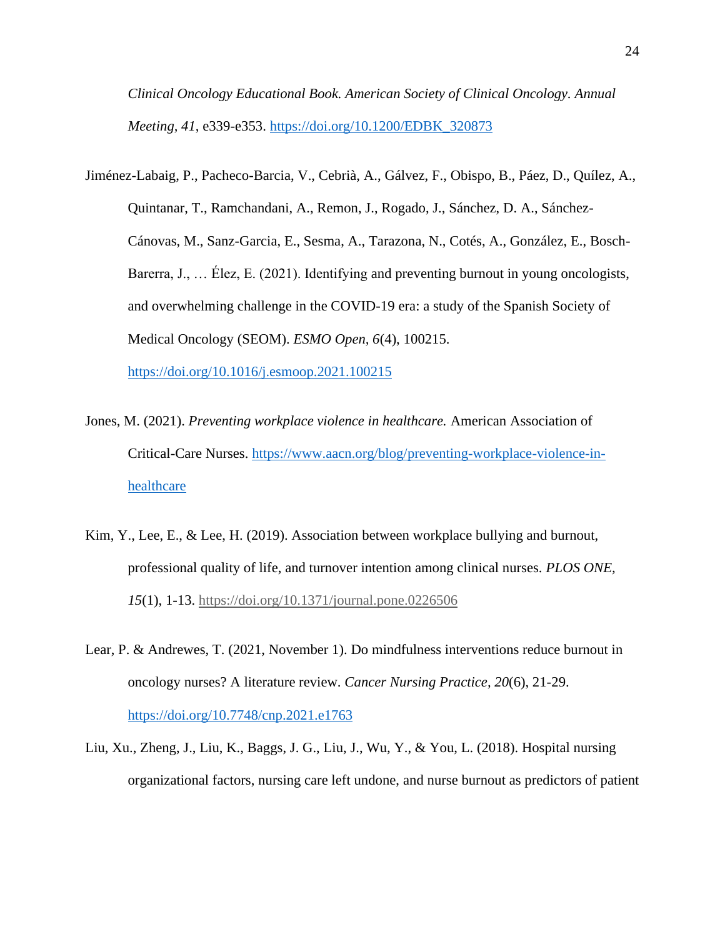*Clinical Oncology Educational Book. American Society of Clinical Oncology. Annual Meeting, 41*, e339-e353. [https://doi.org/10.1200/EDBK\\_320873](https://doi.org/10.1200/EDBK_320873)

Jiménez-Labaig, P., Pacheco-Barcia, V., Cebrià, A., Gálvez, F., Obispo, B., Páez, D., Quílez, A., Quintanar, T., Ramchandani, A., Remon, J., Rogado, J., Sánchez, D. A., Sánchez-Cánovas, M., Sanz-Garcia, E., Sesma, A., Tarazona, N., Cotés, A., González, E., Bosch-Barerra, J., … Élez, E. (2021). Identifying and preventing burnout in young oncologists, and overwhelming challenge in the COVID-19 era: a study of the Spanish Society of Medical Oncology (SEOM). *ESMO Open, 6*(4), 100215. <https://doi.org/10.1016/j.esmoop.2021.100215>

- Jones, M. (2021). *Preventing workplace violence in healthcare.* American Association of Critical-Care Nurses. [https://www.aacn.org/blog/preventing-workplace-violence-in](https://www.aacn.org/blog/preventing-workplace-violence-in-healthcare)[healthcare](https://www.aacn.org/blog/preventing-workplace-violence-in-healthcare)
- Kim, Y., Lee, E., & Lee, H. (2019). Association between workplace bullying and burnout, professional quality of life, and turnover intention among clinical nurses. *PLOS ONE, 15*(1), 1-13.<https://doi.org/10.1371/journal.pone.0226506>
- Lear, P. & Andrewes, T. (2021, November 1). Do mindfulness interventions reduce burnout in oncology nurses? A literature review. *Cancer Nursing Practice, 20*(6), 21-29. <https://doi.org/10.7748/cnp.2021.e1763>
- Liu, Xu., Zheng, J., Liu, K., Baggs, J. G., Liu, J., Wu, Y., & You, L. (2018). Hospital nursing organizational factors, nursing care left undone, and nurse burnout as predictors of patient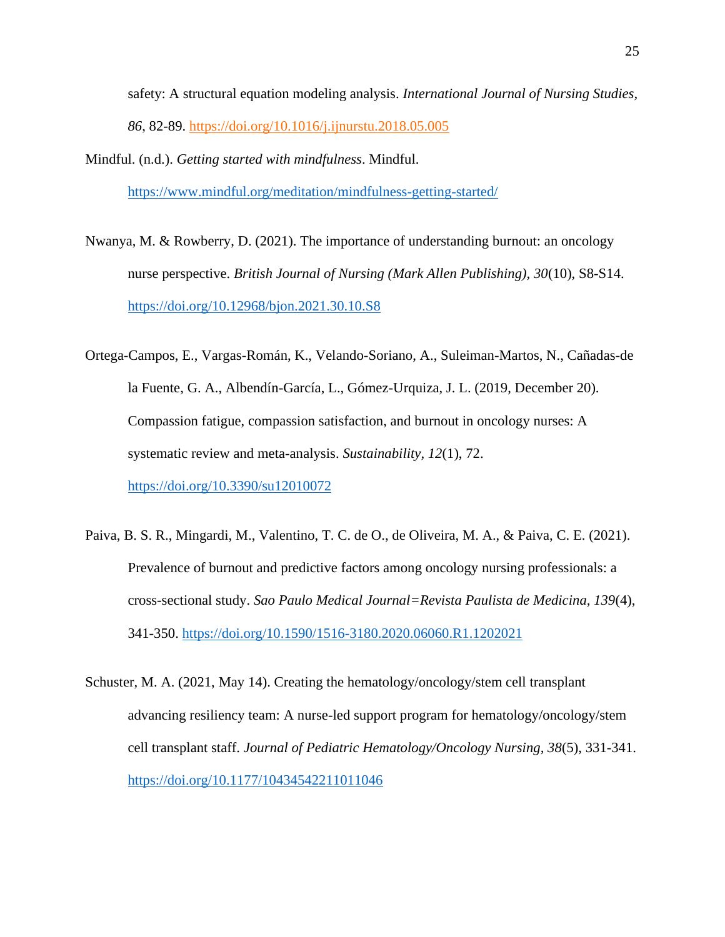safety: A structural equation modeling analysis. *International Journal of Nursing Studies, 86*, 82-89.<https://doi.org/10.1016/j.ijnurstu.2018.05.005>

- Mindful. (n.d.). *Getting started with mindfulness*. Mindful. <https://www.mindful.org/meditation/mindfulness-getting-started/>
- Nwanya, M. & Rowberry, D. (2021). The importance of understanding burnout: an oncology nurse perspective. *British Journal of Nursing (Mark Allen Publishing), 30*(10), S8-S14. <https://doi.org/10.12968/bjon.2021.30.10.S8>
- Ortega-Campos, E., Vargas-Román, K., Velando-Soriano, A., Suleiman-Martos, N., Cañadas-de la Fuente, G. A., Albendín-García, L., Gómez-Urquiza, J. L. (2019, December 20). Compassion fatigue, compassion satisfaction, and burnout in oncology nurses: A systematic review and meta-analysis. *Sustainability, 12*(1), 72. <https://doi.org/10.3390/su12010072>
- Paiva, B. S. R., Mingardi, M., Valentino, T. C. de O., de Oliveira, M. A., & Paiva, C. E. (2021). Prevalence of burnout and predictive factors among oncology nursing professionals: a cross-sectional study. *Sao Paulo Medical Journal=Revista Paulista de Medicina, 139*(4), 341-350.<https://doi.org/10.1590/1516-3180.2020.06060.R1.1202021>
- Schuster, M. A. (2021, May 14). Creating the hematology/oncology/stem cell transplant advancing resiliency team: A nurse-led support program for hematology/oncology/stem cell transplant staff. *Journal of Pediatric Hematology/Oncology Nursing, 38*(5), 331-341. <https://doi.org/10.1177/10434542211011046>